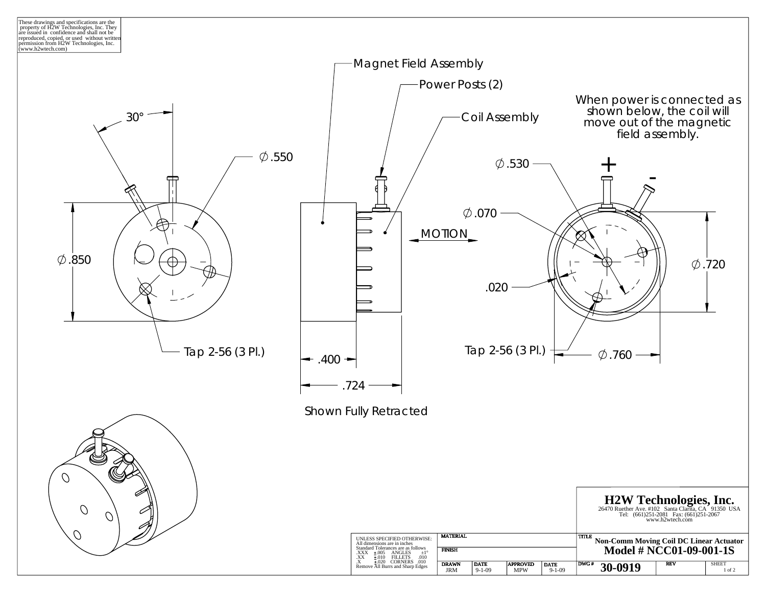